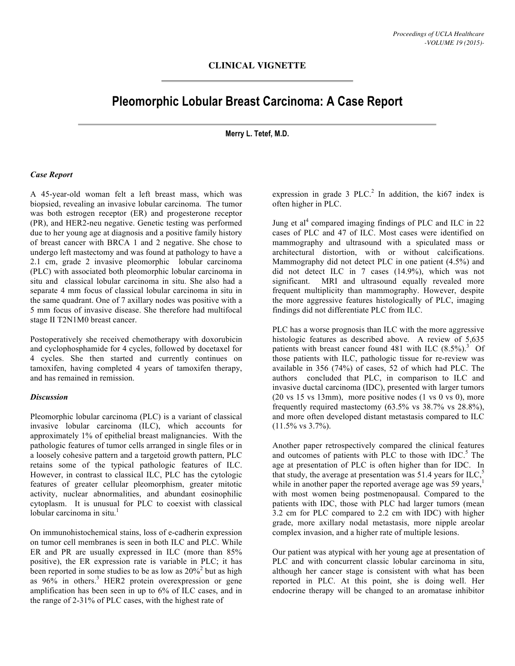## **Pleomorphic Lobular Breast Carcinoma: A Case Report**

**Merry L. Tetef, M.D.**

## *Case Report*

A 45-year-old woman felt a left breast mass, which was biopsied, revealing an invasive lobular carcinoma. The tumor was both estrogen receptor (ER) and progesterone receptor (PR), and HER2-neu negative. Genetic testing was performed due to her young age at diagnosis and a positive family history of breast cancer with BRCA 1 and 2 negative. She chose to undergo left mastectomy and was found at pathology to have a 2.1 cm, grade 2 invasive pleomorphic lobular carcinoma (PLC) with associated both pleomorphic lobular carcinoma in situ and classical lobular carcinoma in situ. She also had a separate 4 mm focus of classical lobular carcinoma in situ in the same quadrant. One of 7 axillary nodes was positive with a 5 mm focus of invasive disease. She therefore had multifocal stage II T2N1M0 breast cancer.

Postoperatively she received chemotherapy with doxorubicin and cyclophosphamide for 4 cycles, followed by docetaxel for 4 cycles. She then started and currently continues on tamoxifen, having completed 4 years of tamoxifen therapy, and has remained in remission.

## *Discussion*

Pleomorphic lobular carcinoma (PLC) is a variant of classical invasive lobular carcinoma (ILC), which accounts for approximately 1% of epithelial breast malignancies. With the pathologic features of tumor cells arranged in single files or in a loosely cohesive pattern and a targetoid growth pattern, PLC retains some of the typical pathologic features of ILC. However, in contrast to classical ILC, PLC has the cytologic features of greater cellular pleomorphism, greater mitotic activity, nuclear abnormalities, and abundant eosinophilic cytoplasm. It is unusual for PLC to coexist with classical lobular carcinoma in situ. 1

On immunohistochemical stains, loss of e-cadherin expression on tumor cell membranes is seen in both ILC and PLC. While ER and PR are usually expressed in ILC (more than 85% positive), the ER expression rate is variable in PLC; it has been reported in some studies to be as low as  $20\%^2$  but as high as  $96\%$  in others.<sup>3</sup> HER2 protein overexpression or gene amplification has been seen in up to 6% of ILC cases, and in the range of 2-31% of PLC cases, with the highest rate of

expression in grade  $3$  PLC.<sup>2</sup> In addition, the ki67 index is often higher in PLC.

Jung et al<sup>4</sup> compared imaging findings of PLC and ILC in 22 cases of PLC and 47 of ILC. Most cases were identified on mammography and ultrasound with a spiculated mass or architectural distortion, with or without calcifications. Mammography did not detect PLC in one patient (4.5%) and did not detect ILC in 7 cases (14.9%), which was not significant. MRI and ultrasound equally revealed more frequent multiplicity than mammography. However, despite the more aggressive features histologically of PLC, imaging findings did not differentiate PLC from ILC.

PLC has a worse prognosis than ILC with the more aggressive histologic features as described above. A review of 5,635 patients with breast cancer found 481 with ILC  $(8.5\%)$ .<sup>3</sup> Of those patients with ILC, pathologic tissue for re-review was available in 356 (74%) of cases, 52 of which had PLC. The authors concluded that PLC, in comparison to ILC and invasive ductal carcinoma (IDC), presented with larger tumors  $(20 \text{ vs } 15 \text{ vs } 13 \text{ mm})$ , more positive nodes  $(1 \text{ vs } 0 \text{ vs } 0)$ , more frequently required mastectomy (63.5% vs 38.7% vs 28.8%), and more often developed distant metastasis compared to ILC  $(11.5\% \text{ vs } 3.7\%).$ 

Another paper retrospectively compared the clinical features and outcomes of patients with PLC to those with IDC.<sup>5</sup> The age at presentation of PLC is often higher than for IDC. In that study, the average at presentation was 51.4 years for ILC,<sup>5</sup> while in another paper the reported average age was 59 years,<sup>1</sup> with most women being postmenopausal. Compared to the patients with IDC, those with PLC had larger tumors (mean 3.2 cm for PLC compared to 2.2 cm with IDC) with higher grade, more axillary nodal metastasis, more nipple areolar complex invasion, and a higher rate of multiple lesions.

Our patient was atypical with her young age at presentation of PLC and with concurrent classic lobular carcinoma in situ, although her cancer stage is consistent with what has been reported in PLC. At this point, she is doing well. Her endocrine therapy will be changed to an aromatase inhibitor